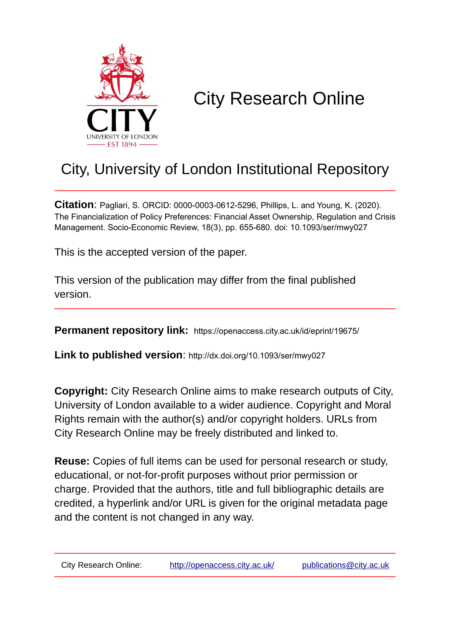

# City Research Online

## City, University of London Institutional Repository

**Citation**: Pagliari, S. ORCID: 0000-0003-0612-5296, Phillips, L. and Young, K. (2020). The Financialization of Policy Preferences: Financial Asset Ownership, Regulation and Crisis Management. Socio-Economic Review, 18(3), pp. 655-680. doi: 10.1093/ser/mwy027

This is the accepted version of the paper.

This version of the publication may differ from the final published version.

**Permanent repository link:** https://openaccess.city.ac.uk/id/eprint/19675/

**Link to published version**: http://dx.doi.org/10.1093/ser/mwy027

**Copyright:** City Research Online aims to make research outputs of City, University of London available to a wider audience. Copyright and Moral Rights remain with the author(s) and/or copyright holders. URLs from City Research Online may be freely distributed and linked to.

**Reuse:** Copies of full items can be used for personal research or study, educational, or not-for-profit purposes without prior permission or charge. Provided that the authors, title and full bibliographic details are credited, a hyperlink and/or URL is given for the original metadata page and the content is not changed in any way.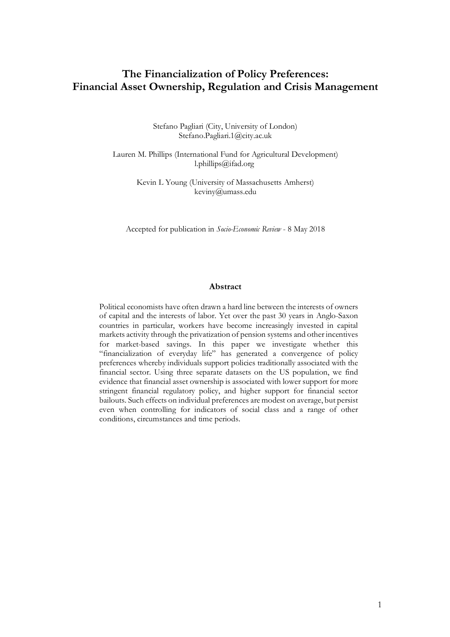## **The Financialization of Policy Preferences: Financial Asset Ownership, Regulation and Crisis Management**

Stefano Pagliari (City, University of London) Stefano.Pagliari.1@city.ac.uk

Lauren M. Phillips (International Fund for Agricultural Development) l.phillips@ifad.org

> Kevin L Young (University of Massachusetts Amherst) keviny@umass.edu

Accepted for publication in *Socio-Economic Review* - 8 May 2018

#### **Abstract**

Political economists have often drawn a hard line between the interests of owners of capital and the interests of labor. Yet over the past 30 years in Anglo-Saxon countries in particular, workers have become increasingly invested in capital markets activity through the privatization of pension systems and other incentives for market-based savings. In this paper we investigate whether this "financialization of everyday life" has generated a convergence of policy preferences whereby individuals support policies traditionally associated with the financial sector. Using three separate datasets on the US population, we find evidence that financial asset ownership is associated with lower support for more stringent financial regulatory policy, and higher support for financial sector bailouts. Such effects on individual preferences are modest on average, but persist even when controlling for indicators of social class and a range of other conditions, circumstances and time periods.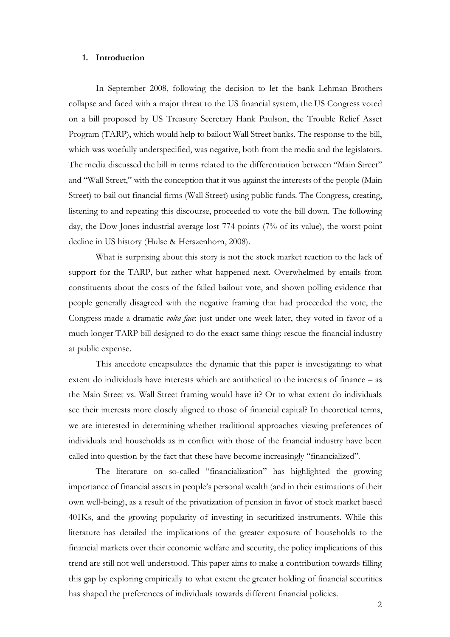#### **1. Introduction**

In September 2008, following the decision to let the bank Lehman Brothers collapse and faced with a major threat to the US financial system, the US Congress voted on a bill proposed by US Treasury Secretary Hank Paulson, the Trouble Relief Asset Program (TARP), which would help to bailout Wall Street banks. The response to the bill, which was woefully underspecified, was negative, both from the media and the legislators. The media discussed the bill in terms related to the differentiation between "Main Street" and "Wall Street," with the conception that it was against the interests of the people (Main Street) to bail out financial firms (Wall Street) using public funds. The Congress, creating, listening to and repeating this discourse, proceeded to vote the bill down. The following day, the Dow Jones industrial average lost 774 points (7% of its value), the worst point decline in US history (Hulse & Herszenhorn, 2008).

What is surprising about this story is not the stock market reaction to the lack of support for the TARP, but rather what happened next. Overwhelmed by emails from constituents about the costs of the failed bailout vote, and shown polling evidence that people generally disagreed with the negative framing that had proceeded the vote, the Congress made a dramatic *volta face*: just under one week later, they voted in favor of a much longer TARP bill designed to do the exact same thing: rescue the financial industry at public expense.

This anecdote encapsulates the dynamic that this paper is investigating: to what extent do individuals have interests which are antithetical to the interests of finance – as the Main Street vs. Wall Street framing would have it? Or to what extent do individuals see their interests more closely aligned to those of financial capital? In theoretical terms, we are interested in determining whether traditional approaches viewing preferences of individuals and households as in conflict with those of the financial industry have been called into question by the fact that these have become increasingly "financialized".

The literature on so-called "financialization" has highlighted the growing importance of financial assets in people's personal wealth (and in their estimations of their own well-being), as a result of the privatization of pension in favor of stock market based 401Ks, and the growing popularity of investing in securitized instruments. While this literature has detailed the implications of the greater exposure of households to the financial markets over their economic welfare and security, the policy implications of this trend are still not well understood. This paper aims to make a contribution towards filling this gap by exploring empirically to what extent the greater holding of financial securities has shaped the preferences of individuals towards different financial policies.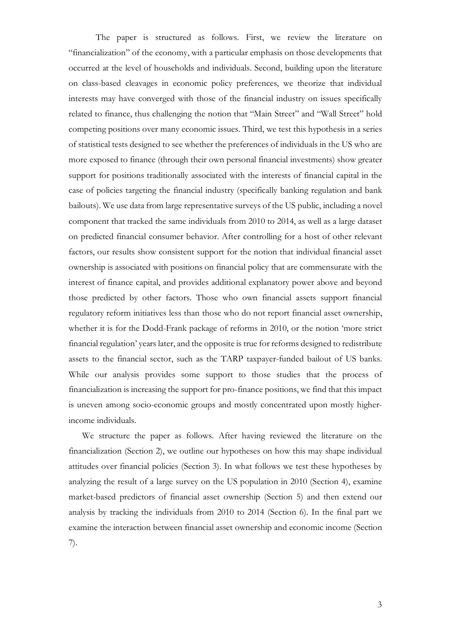The paper is structured as follows. First, we review the literature on "financialization" of the economy, with a particular emphasis on those developments that occurred at the level of households and individuals. Second, building upon the literature on class-based cleavages in economic policy preferences, we theorize that individual interests may have converged with those of the financial industry on issues specifically related to finance, thus challenging the notion that "Main Street" and "Wall Street" hold competing positions over many economic issues. Third, we test this hypothesis in a series of statistical tests designed to see whether the preferences of individuals in the US who are more exposed to finance (through their own personal financial investments) show greater support for positions traditionally associated with the interests of financial capital in the case of policies targeting the financial industry (specifically banking regulation and bank bailouts). We use data from large representative surveys of the US public, including a novel component that tracked the same individuals from 2010 to 2014, as well as a large dataset on predicted financial consumer behavior. After controlling for a host of other relevant factors, our results show consistent support for the notion that individual financial asset ownership is associated with positions on financial policy that are commensurate with the interest of finance capital, and provides additional explanatory power above and beyond those predicted by other factors. Those who own financial assets support financial regulatory reform initiatives less than those who do not report financial asset ownership, whether it is for the Dodd-Frank package of reforms in 2010, or the notion 'more strict financial regulation' years later, and the opposite is true for reforms designed to redistribute assets to the financial sector, such as the TARP taxpayer-funded bailout of US banks. While our analysis provides some support to those studies that the process of financialization is increasing the support for pro-finance positions, we find that this impact is uneven among socio-economic groups and mostly concentrated upon mostly higherincome individuals.

We structure the paper as follows. After having reviewed the literature on the financialization (Section 2), we outline our hypotheses on how this may shape individual attitudes over financial policies (Section 3). In what follows we test these hypotheses by analyzing the result of a large survey on the US population in 2010 (Section 4), examine market-based predictors of financial asset ownership (Section 5) and then extend our analysis by tracking the individuals from 2010 to 2014 (Section 6). In the final part we examine the interaction between financial asset ownership and economic income (Section 7).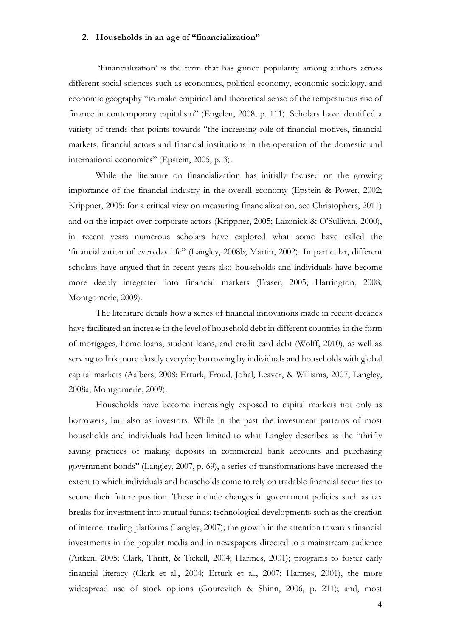#### **2. Households in an age of "financialization"**

'Financialization' is the term that has gained popularity among authors across different social sciences such as economics, political economy, economic sociology, and economic geography "to make empirical and theoretical sense of the tempestuous rise of finance in contemporary capitalism" (Engelen, 2008, p. 111). Scholars have identified a variety of trends that points towards "the increasing role of financial motives, financial markets, financial actors and financial institutions in the operation of the domestic and international economies" (Epstein, 2005, p. 3).

While the literature on financialization has initially focused on the growing importance of the financial industry in the overall economy (Epstein & Power, 2002; Krippner, 2005; for a critical view on measuring financialization, see Christophers, 2011) and on the impact over corporate actors (Krippner, 2005; Lazonick & O'Sullivan, 2000), in recent years numerous scholars have explored what some have called the 'financialization of everyday life" (Langley, 2008b; Martin, 2002). In particular, different scholars have argued that in recent years also households and individuals have become more deeply integrated into financial markets (Fraser, 2005; Harrington, 2008; Montgomerie, 2009).

The literature details how a series of financial innovations made in recent decades have facilitated an increase in the level of household debt in different countries in the form of mortgages, home loans, student loans, and credit card debt (Wolff, 2010), as well as serving to link more closely everyday borrowing by individuals and households with global capital markets (Aalbers, 2008; Erturk, Froud, Johal, Leaver, & Williams, 2007; Langley, 2008a; Montgomerie, 2009).

Households have become increasingly exposed to capital markets not only as borrowers, but also as investors. While in the past the investment patterns of most households and individuals had been limited to what Langley describes as the "thrifty saving practices of making deposits in commercial bank accounts and purchasing government bonds" (Langley, 2007, p. 69), a series of transformations have increased the extent to which individuals and households come to rely on tradable financial securities to secure their future position. These include changes in government policies such as tax breaks for investment into mutual funds; technological developments such as the creation of internet trading platforms (Langley, 2007); the growth in the attention towards financial investments in the popular media and in newspapers directed to a mainstream audience (Aitken, 2005; Clark, Thrift, & Tickell, 2004; Harmes, 2001); programs to foster early financial literacy (Clark et al., 2004; Erturk et al., 2007; Harmes, 2001), the more widespread use of stock options (Gourevitch & Shinn, 2006, p. 211); and, most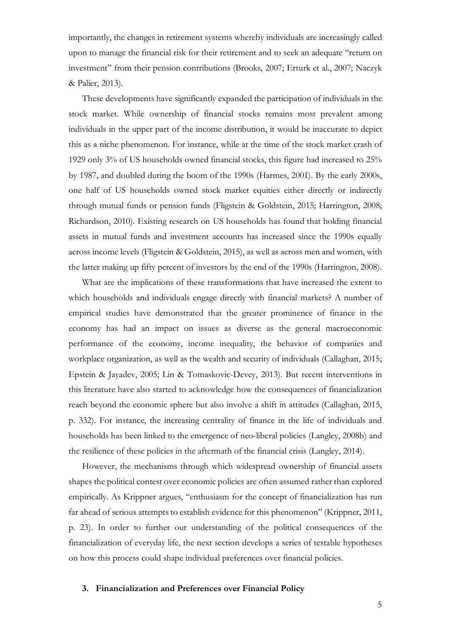importantly, the changes in retirement systems whereby individuals are increasingly called upon to manage the financial risk for their retirement and to seek an adequate "return on investment" from their pension contributions (Brooks, 2007; Erturk et al., 2007; Naczyk & Palier, 2013).

These developments have significantly expanded the participation of individuals in the stock market. While ownership of financial stocks remains most prevalent among individuals in the upper part of the income distribution, it would be inaccurate to depict this as a niche phenomenon. For instance, while at the time of the stock market crash of 1929 only 3% of US households owned financial stocks, this figure had increased to 25% by 1987, and doubled during the boom of the 1990s (Harmes, 2001). By the early 2000s, one half of US households owned stock market equities either directly or indirectly through mutual funds or pension funds (Fligstein & Goldstein, 2015; Harrington, 2008; Richardson, 2010). Existing research on US households has found that holding financial assets in mutual funds and investment accounts has increased since the 1990s equally across income levels (Fligstein & Goldstein, 2015), as well as across men and women, with the latter making up fifty percent of investors by the end of the 1990s (Harrington, 2008).

What are the implications of these transformations that have increased the extent to which households and individuals engage directly with financial markets? A number of empirical studies have demonstrated that the greater prominence of finance in the economy has had an impact on issues as diverse as the general macroeconomic performance of the economy, income inequality, the behavior of companies and workplace organization, as well as the wealth and security of individuals (Callaghan, 2015; Epstein & Jayadev, 2005; Lin & Tomaskovic-Devey, 2013). But recent interventions in this literature have also started to acknowledge how the consequences of financialization reach beyond the economic sphere but also involve a shift in attitudes (Callaghan, 2015, p. 332). For instance, the increasing centrality of finance in the life of individuals and households has been linked to the emergence of neo-liberal policies (Langley, 2008b) and the resilience of these policies in the aftermath of the financial crisis (Langley, 2014).

However, the mechanisms through which widespread ownership of financial assets shapes the political contest over economic policies are often assumed rather than explored empirically. As Krippner argues, "enthusiasm for the concept of financialization has run far ahead of serious attempts to establish evidence for this phenomenon" (Krippner, 2011, p. 23). In order to further our understanding of the political consequences of the financialization of everyday life, the next section develops a series of testable hypotheses on how this process could shape individual preferences over financial policies.

#### **3. Financialization and Preferences over Financial Policy**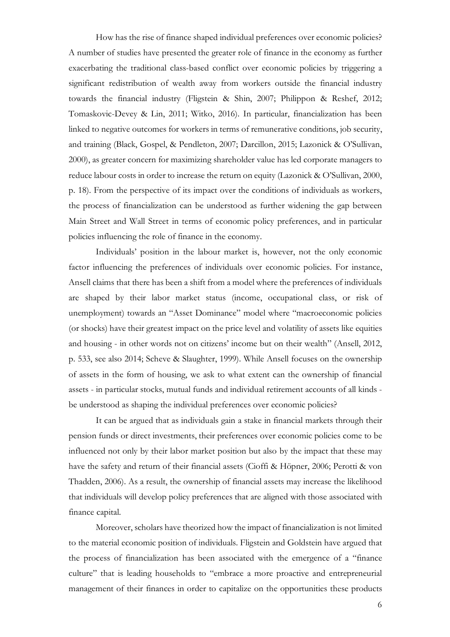How has the rise of finance shaped individual preferences over economic policies? A number of studies have presented the greater role of finance in the economy as further exacerbating the traditional class-based conflict over economic policies by triggering a significant redistribution of wealth away from workers outside the financial industry towards the financial industry (Fligstein & Shin, 2007; Philippon & Reshef, 2012; Tomaskovic-Devey & Lin, 2011; Witko, 2016). In particular, financialization has been linked to negative outcomes for workers in terms of remunerative conditions, job security, and training (Black, Gospel, & Pendleton, 2007; Darcillon, 2015; Lazonick & O'Sullivan, 2000), as greater concern for maximizing shareholder value has led corporate managers to reduce labour costs in order to increase the return on equity (Lazonick & O'Sullivan, 2000, p. 18). From the perspective of its impact over the conditions of individuals as workers, the process of financialization can be understood as further widening the gap between Main Street and Wall Street in terms of economic policy preferences, and in particular policies influencing the role of finance in the economy.

Individuals' position in the labour market is, however, not the only economic factor influencing the preferences of individuals over economic policies. For instance, Ansell claims that there has been a shift from a model where the preferences of individuals are shaped by their labor market status (income, occupational class, or risk of unemployment) towards an "Asset Dominance" model where "macroeconomic policies (or shocks) have their greatest impact on the price level and volatility of assets like equities and housing - in other words not on citizens' income but on their wealth" (Ansell, 2012, p. 533, see also 2014; Scheve & Slaughter, 1999). While Ansell focuses on the ownership of assets in the form of housing, we ask to what extent can the ownership of financial assets - in particular stocks, mutual funds and individual retirement accounts of all kinds be understood as shaping the individual preferences over economic policies?

It can be argued that as individuals gain a stake in financial markets through their pension funds or direct investments, their preferences over economic policies come to be influenced not only by their labor market position but also by the impact that these may have the safety and return of their financial assets (Cioffi & Höpner, 2006; Perotti & von Thadden, 2006). As a result, the ownership of financial assets may increase the likelihood that individuals will develop policy preferences that are aligned with those associated with finance capital.

Moreover, scholars have theorized how the impact of financialization is not limited to the material economic position of individuals. Fligstein and Goldstein have argued that the process of financialization has been associated with the emergence of a "finance culture" that is leading households to "embrace a more proactive and entrepreneurial management of their finances in order to capitalize on the opportunities these products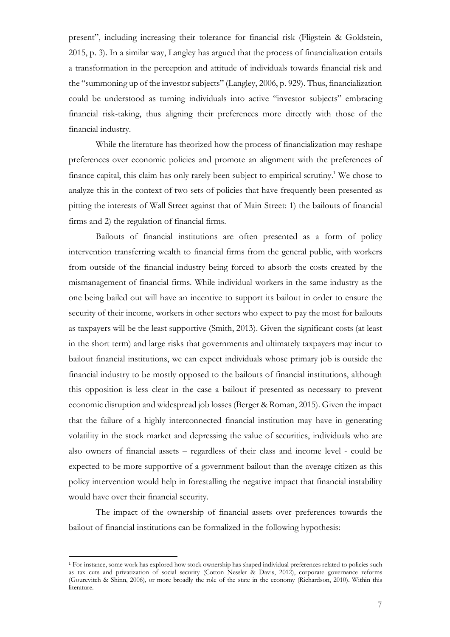present", including increasing their tolerance for financial risk (Fligstein & Goldstein, 2015, p. 3). In a similar way, Langley has argued that the process of financialization entails a transformation in the perception and attitude of individuals towards financial risk and the "summoning up of the investor subjects" (Langley, 2006, p. 929). Thus, financialization could be understood as turning individuals into active "investor subjects" embracing financial risk-taking, thus aligning their preferences more directly with those of the financial industry.

While the literature has theorized how the process of financialization may reshape preferences over economic policies and promote an alignment with the preferences of finance capital, this claim has only rarely been subject to empirical scrutiny.<sup>1</sup> We chose to analyze this in the context of two sets of policies that have frequently been presented as pitting the interests of Wall Street against that of Main Street: 1) the bailouts of financial firms and 2) the regulation of financial firms.

Bailouts of financial institutions are often presented as a form of policy intervention transferring wealth to financial firms from the general public, with workers from outside of the financial industry being forced to absorb the costs created by the mismanagement of financial firms. While individual workers in the same industry as the one being bailed out will have an incentive to support its bailout in order to ensure the security of their income, workers in other sectors who expect to pay the most for bailouts as taxpayers will be the least supportive (Smith, 2013). Given the significant costs (at least in the short term) and large risks that governments and ultimately taxpayers may incur to bailout financial institutions, we can expect individuals whose primary job is outside the financial industry to be mostly opposed to the bailouts of financial institutions, although this opposition is less clear in the case a bailout if presented as necessary to prevent economic disruption and widespread job losses (Berger & Roman, 2015). Given the impact that the failure of a highly interconnected financial institution may have in generating volatility in the stock market and depressing the value of securities, individuals who are also owners of financial assets – regardless of their class and income level - could be expected to be more supportive of a government bailout than the average citizen as this policy intervention would help in forestalling the negative impact that financial instability would have over their financial security.

The impact of the ownership of financial assets over preferences towards the bailout of financial institutions can be formalized in the following hypothesis:

<sup>1</sup> For instance, some work has explored how stock ownership has shaped individual preferences related to policies such as tax cuts and privatization of social security (Cotton Nessler & Davis, 2012), corporate governance reforms (Gourevitch & Shinn, 2006), or more broadly the role of the state in the economy (Richardson, 2010). Within this literature.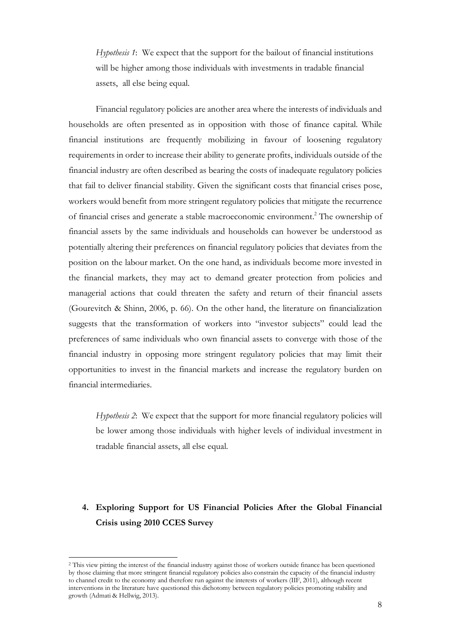*Hypothesis 1*: We expect that the support for the bailout of financial institutions will be higher among those individuals with investments in tradable financial assets, all else being equal.

Financial regulatory policies are another area where the interests of individuals and households are often presented as in opposition with those of finance capital. While financial institutions are frequently mobilizing in favour of loosening regulatory requirements in order to increase their ability to generate profits, individuals outside of the financial industry are often described as bearing the costs of inadequate regulatory policies that fail to deliver financial stability. Given the significant costs that financial crises pose, workers would benefit from more stringent regulatory policies that mitigate the recurrence of financial crises and generate a stable macroeconomic environment.2 The ownership of financial assets by the same individuals and households can however be understood as potentially altering their preferences on financial regulatory policies that deviates from the position on the labour market. On the one hand, as individuals become more invested in the financial markets, they may act to demand greater protection from policies and managerial actions that could threaten the safety and return of their financial assets (Gourevitch & Shinn, 2006, p. 66). On the other hand, the literature on financialization suggests that the transformation of workers into "investor subjects" could lead the preferences of same individuals who own financial assets to converge with those of the financial industry in opposing more stringent regulatory policies that may limit their opportunities to invest in the financial markets and increase the regulatory burden on financial intermediaries.

*Hypothesis 2*: We expect that the support for more financial regulatory policies will be lower among those individuals with higher levels of individual investment in tradable financial assets, all else equal.

## **4. Exploring Support for US Financial Policies After the Global Financial Crisis using 2010 CCES Survey**

<sup>2</sup> This view pitting the interest of the financial industry against those of workers outside finance has been questioned by those claiming that more stringent financial regulatory policies also constrain the capacity of the financial industry to channel credit to the economy and therefore run against the interests of workers (IIF, 2011), although recent interventions in the literature have questioned this dichotomy between regulatory policies promoting stability and growth (Admati & Hellwig, 2013).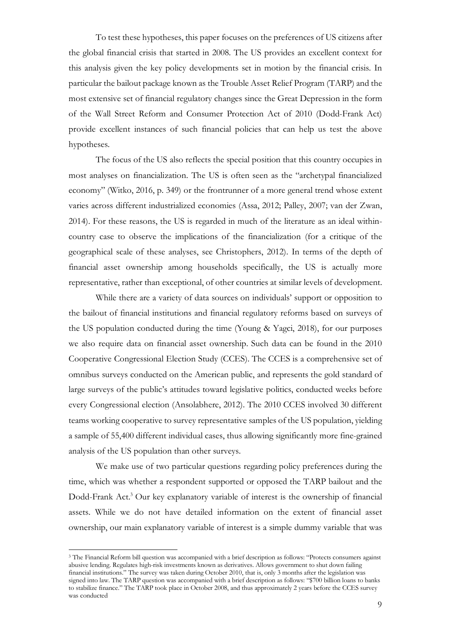To test these hypotheses, this paper focuses on the preferences of US citizens after the global financial crisis that started in 2008. The US provides an excellent context for this analysis given the key policy developments set in motion by the financial crisis. In particular the bailout package known as the Trouble Asset Relief Program (TARP) and the most extensive set of financial regulatory changes since the Great Depression in the form of the Wall Street Reform and Consumer Protection Act of 2010 (Dodd-Frank Act) provide excellent instances of such financial policies that can help us test the above hypotheses.

The focus of the US also reflects the special position that this country occupies in most analyses on financialization. The US is often seen as the "archetypal financialized economy" (Witko, 2016, p. 349) or the frontrunner of a more general trend whose extent varies across different industrialized economies (Assa, 2012; Palley, 2007; van der Zwan, 2014). For these reasons, the US is regarded in much of the literature as an ideal withincountry case to observe the implications of the financialization (for a critique of the geographical scale of these analyses, see Christophers, 2012). In terms of the depth of financial asset ownership among households specifically, the US is actually more representative, rather than exceptional, of other countries at similar levels of development.

While there are a variety of data sources on individuals' support or opposition to the bailout of financial institutions and financial regulatory reforms based on surveys of the US population conducted during the time (Young & Yagci, 2018), for our purposes we also require data on financial asset ownership. Such data can be found in the 2010 Cooperative Congressional Election Study (CCES). The CCES is a comprehensive set of omnibus surveys conducted on the American public, and represents the gold standard of large surveys of the public's attitudes toward legislative politics, conducted weeks before every Congressional election (Ansolabhere, 2012). The 2010 CCES involved 30 different teams working cooperative to survey representative samples of the US population, yielding a sample of 55,400 different individual cases, thus allowing significantly more fine-grained analysis of the US population than other surveys.

We make use of two particular questions regarding policy preferences during the time, which was whether a respondent supported or opposed the TARP bailout and the Dodd-Frank Act. <sup>3</sup> Our key explanatory variable of interest is the ownership of financial assets. While we do not have detailed information on the extent of financial asset ownership, our main explanatory variable of interest is a simple dummy variable that was

<sup>3</sup> The Financial Reform bill question was accompanied with a brief description as follows: "Protects consumers against abusive lending. Regulates high-risk investments known as derivatives. Allows government to shut down failing financial institutions." The survey was taken during October 2010, that is, only 3 months after the legislation was signed into law. The TARP question was accompanied with a brief description as follows: "\$700 billion loans to banks to stabilize finance." The TARP took place in October 2008, and thus approximately 2 years before the CCES survey was conducted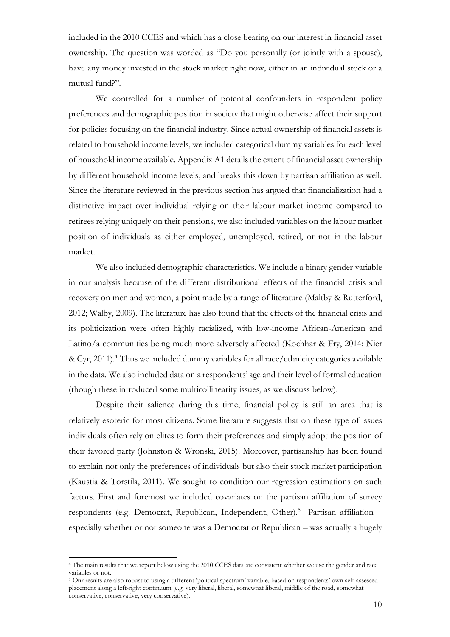included in the 2010 CCES and which has a close bearing on our interest in financial asset ownership. The question was worded as "Do you personally (or jointly with a spouse), have any money invested in the stock market right now, either in an individual stock or a mutual fund?".

We controlled for a number of potential confounders in respondent policy preferences and demographic position in society that might otherwise affect their support for policies focusing on the financial industry. Since actual ownership of financial assets is related to household income levels, we included categorical dummy variables for each level of household income available. Appendix A1 details the extent of financial asset ownership by different household income levels, and breaks this down by partisan affiliation as well. Since the literature reviewed in the previous section has argued that financialization had a distinctive impact over individual relying on their labour market income compared to retirees relying uniquely on their pensions, we also included variables on the labour market position of individuals as either employed, unemployed, retired, or not in the labour market.

We also included demographic characteristics. We include a binary gender variable in our analysis because of the different distributional effects of the financial crisis and recovery on men and women, a point made by a range of literature (Maltby & Rutterford, 2012; Walby, 2009). The literature has also found that the effects of the financial crisis and its politicization were often highly racialized, with low-income African-American and Latino/a communities being much more adversely affected (Kochhar & Fry, 2014; Nier & Cyr, 2011). <sup>4</sup> Thus we included dummy variables for all race/ethnicity categories available in the data. We also included data on a respondents' age and their level of formal education (though these introduced some multicollinearity issues, as we discuss below).

Despite their salience during this time, financial policy is still an area that is relatively esoteric for most citizens. Some literature suggests that on these type of issues individuals often rely on elites to form their preferences and simply adopt the position of their favored party (Johnston & Wronski, 2015). Moreover, partisanship has been found to explain not only the preferences of individuals but also their stock market participation (Kaustia & Torstila, 2011). We sought to condition our regression estimations on such factors. First and foremost we included covariates on the partisan affiliation of survey respondents (e.g. Democrat, Republican, Independent, Other). <sup>5</sup> Partisan affiliation – especially whether or not someone was a Democrat or Republican – was actually a hugely

<sup>4</sup> The main results that we report below using the 2010 CCES data are consistent whether we use the gender and race variables or not.

<sup>5</sup> Our results are also robust to using a different 'political spectrum' variable, based on respondents' own self-assessed placement along a left-right continuum (e.g. very liberal, liberal, somewhat liberal, middle of the road, somewhat conservative, conservative, very conservative).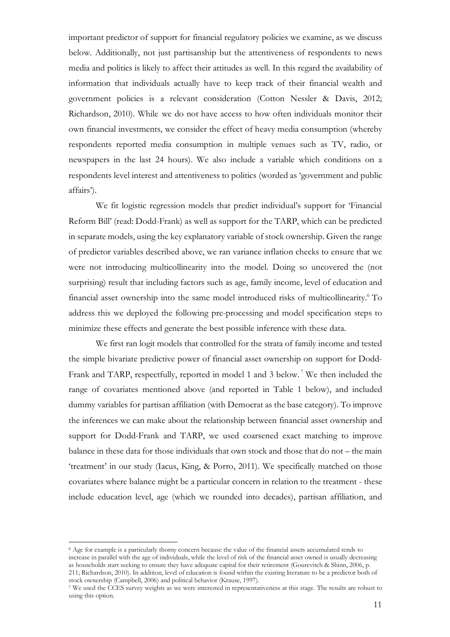important predictor of support for financial regulatory policies we examine, as we discuss below. Additionally, not just partisanship but the attentiveness of respondents to news media and politics is likely to affect their attitudes as well. In this regard the availability of information that individuals actually have to keep track of their financial wealth and government policies is a relevant consideration (Cotton Nessler & Davis, 2012; Richardson, 2010). While we do not have access to how often individuals monitor their own financial investments, we consider the effect of heavy media consumption (whereby respondents reported media consumption in multiple venues such as TV, radio, or newspapers in the last 24 hours). We also include a variable which conditions on a respondents level interest and attentiveness to politics (worded as 'government and public affairs').

We fit logistic regression models that predict individual's support for 'Financial Reform Bill' (read: Dodd-Frank) as well as support for the TARP, which can be predicted in separate models, using the key explanatory variable of stock ownership. Given the range of predictor variables described above, we ran variance inflation checks to ensure that we were not introducing multicollinearity into the model. Doing so uncovered the (not surprising) result that including factors such as age, family income, level of education and financial asset ownership into the same model introduced risks of multicollinearity.<sup>6</sup> To address this we deployed the following pre-processing and model specification steps to minimize these effects and generate the best possible inference with these data.

We first ran logit models that controlled for the strata of family income and tested the simple bivariate predictive power of financial asset ownership on support for Dodd-Frank and TARP, respectfully, reported in model 1 and 3 below.<sup>7</sup> We then included the range of covariates mentioned above (and reported in Table 1 below), and included dummy variables for partisan affiliation (with Democrat as the base category). To improve the inferences we can make about the relationship between financial asset ownership and support for Dodd-Frank and TARP, we used coarsened exact matching to improve balance in these data for those individuals that own stock and those that do not – the main 'treatment' in our study (Iacus, King, & Porro, 2011). We specifically matched on those covariates where balance might be a particular concern in relation to the treatment - these include education level, age (which we rounded into decades), partisan affiliation, and

<sup>6</sup> Age for example is a particularly thorny concern because the value of the financial assets accumulated tends to increase in parallel with the age of individuals, while the level of risk of the financial asset owned is usually decreasing as households start seeking to ensure they have adequate capital for their retirement (Gourevitch & Shinn, 2006, p. 211; Richardson, 2010). In addition, level of education is found within the existing literature to be a predictor both of stock ownership (Campbell, 2006) and political behavior (Krause, 1997).

<sup>7</sup> We used the CCES survey weights as we were interested in representativeness at this stage. The results are robust to using this option.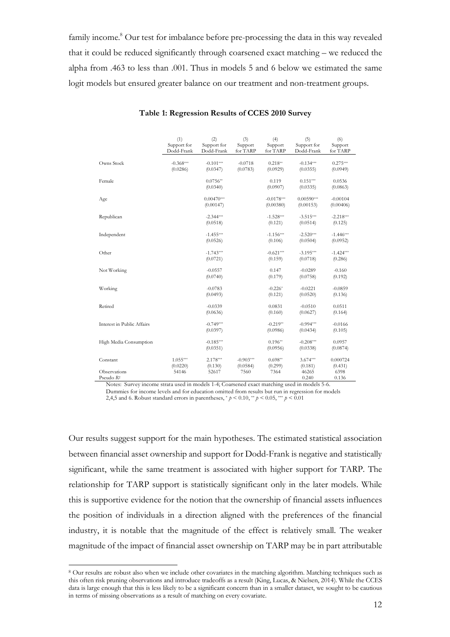family income.<sup>8</sup> Our test for imbalance before pre-processing the data in this way revealed that it could be reduced significantly through coarsened exact matching – we reduced the alpha from .463 to less than .001. Thus in models 5 and 6 below we estimated the same logit models but ensured greater balance on our treatment and non-treatment groups.

|                                       | (1)<br>Support for<br>Dodd-Frank | (2)<br>Support for<br>Dodd-Frank | (3)<br>Support<br>for TARP | (4)<br>Support<br>for TARP | (5)<br>Support for<br>Dodd-Frank | (6)<br>Support<br>for TARP |
|---------------------------------------|----------------------------------|----------------------------------|----------------------------|----------------------------|----------------------------------|----------------------------|
| Owns Stock                            | $-0.368***$<br>(0.0286)          | $-0.101***$<br>(0.0347)          | $-0.0718$<br>(0.0783)      | $0.218**$<br>(0.0929)      | $-0.134***$<br>(0.0355)          | $0.275***$<br>(0.0949)     |
| Female                                |                                  | $0.0756**$<br>(0.0340)           |                            | 0.119<br>(0.0907)          | $0.151***$<br>(0.0335)           | 0.0536<br>(0.0863)         |
| Age                                   |                                  | $0.00470***$<br>(0.00147)        |                            | $-0.0178***$<br>(0.00380)  | $0.00590***$<br>(0.00153)        | $-0.00104$<br>(0.00406)    |
| Republican                            |                                  | $-2.344***$<br>(0.0518)          |                            | $-1.528***$<br>(0.121)     | $-3.515***$<br>(0.0514)          | $-2.218***$<br>(0.125)     |
| Independent                           |                                  | $-1.455***$<br>(0.0526)          |                            | $-1.156***$<br>(0.106)     | $-2.520***$<br>(0.0504)          | $-1.446***$<br>(0.0952)    |
| Other                                 |                                  | $-1.743***$<br>(0.0721)          |                            | $-0.621***$<br>(0.159)     | $-3.195***$<br>(0.0718)          | $-1.424***$<br>(0.286)     |
| Not Working                           |                                  | $-0.0557$<br>(0.0740)            |                            | 0.147<br>(0.179)           | $-0.0289$<br>(0.0758)            | $-0.160$<br>(0.192)        |
| Working                               |                                  | $-0.0783$<br>(0.0493)            |                            | $-0.226*$<br>(0.121)       | $-0.0221$<br>(0.0520)            | $-0.0859$<br>(0.136)       |
| Retired                               |                                  | $-0.0339$<br>(0.0636)            |                            | 0.0831<br>(0.160)          | $-0.0510$<br>(0.0627)            | 0.0511<br>(0.164)          |
| Interest in Public Affairs            |                                  | $-0.749***$<br>(0.0397)          |                            | $-0.219**$<br>(0.0986)     | $-0.994***$<br>(0.0434)          | $-0.0166$<br>(0.105)       |
| High Media Consumption                |                                  | $-0.185***$<br>(0.0351)          |                            | $0.196**$<br>(0.0956)      | $-0.208***$<br>(0.0338)          | 0.0957<br>(0.0874)         |
| Constant                              | $1.055***$<br>(0.0220)           | $2.178***$<br>(0.130)            | $-0.903***$<br>(0.0584)    | $0.698**$<br>(0.299)       | $3.674***$<br>(0.181)            | 0.000724<br>(0.431)        |
| Observations<br>Pseudo R <sup>2</sup> | 54146                            | 52617                            | 7560                       | 7364                       | 46265<br>0.240                   | 6398<br>0.136              |

**Table 1: Regression Results of CCES 2010 Survey**

Notes: Survey income strata used in models 1-4; Coarsened exact matching used in models 5-6. Dummies for income levels and for education omitted from results but run in regression for models

2,4,5 and 6. Robust standard errors in parentheses,  $p < 0.10$ ,  $\binom{4}{10} < 0.05$ ,  $\binom{4}{10} < 0.01$ 

Our results suggest support for the main hypotheses. The estimated statistical association between financial asset ownership and support for Dodd-Frank is negative and statistically significant, while the same treatment is associated with higher support for TARP. The relationship for TARP support is statistically significant only in the later models. While this is supportive evidence for the notion that the ownership of financial assets influences the position of individuals in a direction aligned with the preferences of the financial industry, it is notable that the magnitude of the effect is relatively small. The weaker magnitude of the impact of financial asset ownership on TARP may be in part attributable

<sup>8</sup> Our results are robust also when we include other covariates in the matching algorithm. Matching techniques such as this often risk pruning observations and introduce tradeoffs as a result (King, Lucas, & Nielsen, 2014). While the CCES data is large enough that this is less likely to be a significant concern than in a smaller dataset, we sought to be cautious in terms of missing observations as a result of matching on every covariate.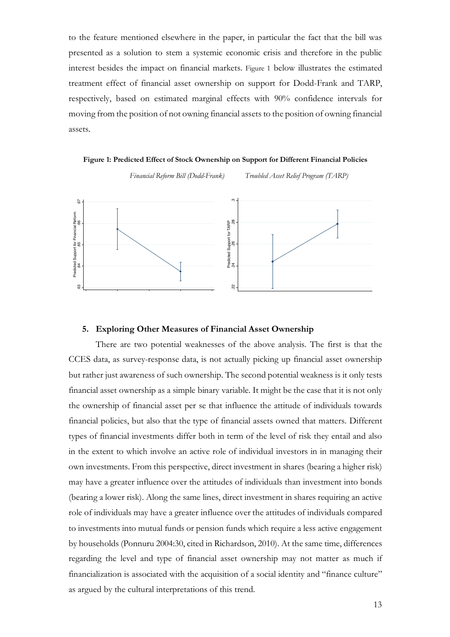to the feature mentioned elsewhere in the paper, in particular the fact that the bill was presented as a solution to stem a systemic economic crisis and therefore in the public interest besides the impact on financial markets. Figure 1 below illustrates the estimated treatment effect of financial asset ownership on support for Dodd-Frank and TARP, respectively, based on estimated marginal effects with 90% confidence intervals for moving from the position of not owning financial assets to the position of owning financial assets.

**Figure 1: Predicted Effect of Stock Ownership on Support for Different Financial Policies**

*Financial Reform Bill (Dodd-Frank) Troubled Asset Relief Program (TARP)* 



#### **5. Exploring Other Measures of Financial Asset Ownership**

There are two potential weaknesses of the above analysis. The first is that the CCES data, as survey-response data, is not actually picking up financial asset ownership but rather just awareness of such ownership. The second potential weakness is it only tests financial asset ownership as a simple binary variable. It might be the case that it is not only the ownership of financial asset per se that influence the attitude of individuals towards financial policies, but also that the type of financial assets owned that matters. Different types of financial investments differ both in term of the level of risk they entail and also in the extent to which involve an active role of individual investors in in managing their own investments. From this perspective, direct investment in shares (bearing a higher risk) may have a greater influence over the attitudes of individuals than investment into bonds (bearing a lower risk). Along the same lines, direct investment in shares requiring an active role of individuals may have a greater influence over the attitudes of individuals compared to investments into mutual funds or pension funds which require a less active engagement by households (Ponnuru 2004:30, cited in Richardson, 2010). At the same time, differences regarding the level and type of financial asset ownership may not matter as much if financialization is associated with the acquisition of a social identity and "finance culture" As a strategy of the cultural interpretations of this trend. As a strength of this trend. There are two potential weaknesses of the cultural  $\frac{3}{2}$   $\frac{3}{2}$   $\frac{3}{2}$   $\frac{3}{2}$   $\frac{3}{2}$   $\frac{3}{2}$   $\frac{3}{2}$   $\frac{3}{2}$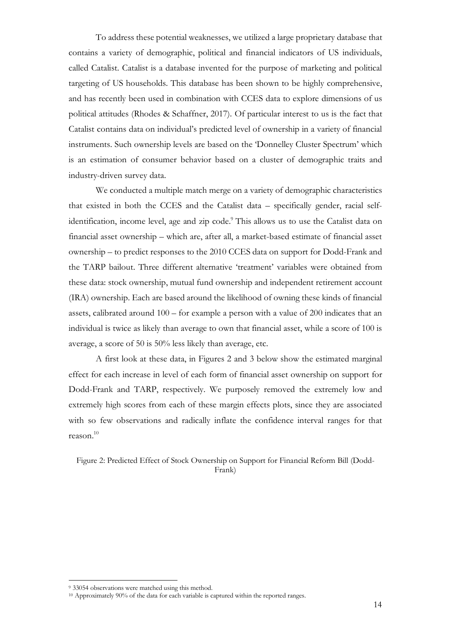To address these potential weaknesses, we utilized a large proprietary database that contains a variety of demographic, political and financial indicators of US individuals, called Catalist. Catalist is a database invented for the purpose of marketing and political targeting of US households. This database has been shown to be highly comprehensive, and has recently been used in combination with CCES data to explore dimensions of us political attitudes (Rhodes & Schaffner, 2017). Of particular interest to us is the fact that Catalist contains data on individual's predicted level of ownership in a variety of financial instruments. Such ownership levels are based on the 'Donnelley Cluster Spectrum' which is an estimation of consumer behavior based on a cluster of demographic traits and industry-driven survey data.

We conducted a multiple match merge on a variety of demographic characteristics that existed in both the CCES and the Catalist data – specifically gender, racial selfidentification, income level, age and zip code.<sup>9</sup> This allows us to use the Catalist data on financial asset ownership – which are, after all, a market-based estimate of financial asset ownership – to predict responses to the 2010 CCES data on support for Dodd-Frank and the TARP bailout. Three different alternative 'treatment' variables were obtained from these data: stock ownership, mutual fund ownership and independent retirement account (IRA) ownership. Each are based around the likelihood of owning these kinds of financial assets, calibrated around 100 – for example a person with a value of 200 indicates that an individual is twice as likely than average to own that financial asset, while a score of 100 is average, a score of 50 is 50% less likely than average, etc.

A first look at these data, in Figures 2 and 3 below show the estimated marginal effect for each increase in level of each form of financial asset ownership on support for Dodd-Frank and TARP, respectively. We purposely removed the extremely low and extremely high scores from each of these margin effects plots, since they are associated with so few observations and radically inflate the confidence interval ranges for that reason. $10$ 

Figure 2: Predicted Effect of Stock Ownership on Support for Financial Reform Bill (Dodd-Frank)

<sup>9</sup> 33054 observations were matched using this method.

<sup>10</sup> Approximately 90% of the data for each variable is captured within the reported ranges.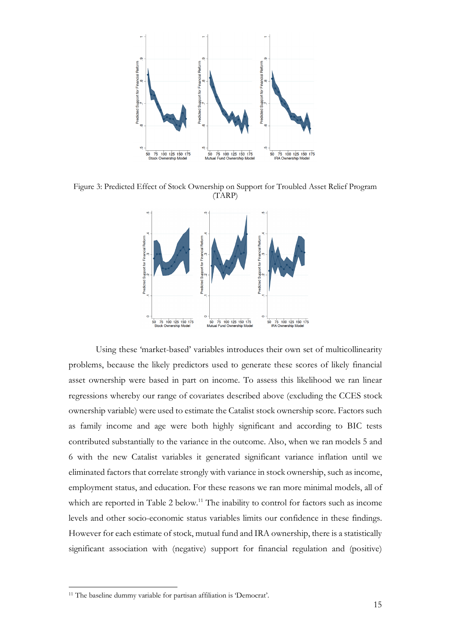

Figure 3: Predicted Effect of Stock Ownership on Support for Troubled Asset Relief Program (TARP)



Using these 'market-based' variables introduces their own set of multicollinearity problems, because the likely predictors used to generate these scores of likely financial asset ownership were based in part on income. To assess this likelihood we ran linear regressions whereby our range of covariates described above (excluding the CCES stock ownership variable) were used to estimate the Catalist stock ownership score. Factors such as family income and age were both highly significant and according to BIC tests contributed substantially to the variance in the outcome. Also, when we ran models 5 and 6 with the new Catalist variables it generated significant variance inflation until we eliminated factors that correlate strongly with variance in stock ownership, such as income, employment status, and education. For these reasons we ran more minimal models, all of which are reported in Table 2 below.<sup>11</sup> The inability to control for factors such as income levels and other socio-economic status variables limits our confidence in these findings. However for each estimate of stock, mutual fund and IRA ownership, there is a statistically significant association with (negative) support for financial regulation and (positive)

<sup>&</sup>lt;sup>11</sup> The baseline dummy variable for partisan affiliation is 'Democrat'.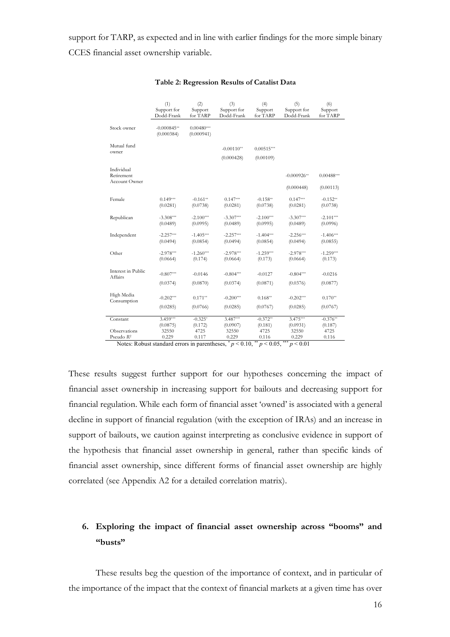support for TARP, as expected and in line with earlier findings for the more simple binary CCES financial asset ownership variable.

|                                       | (1)<br>Support for<br>Dodd-Frank | (2)<br>Support<br>for TARP | (3)<br>Support for<br>Dodd-Frank | (4)<br>Support<br>for TARP | (5)<br>Support for<br>Dodd-Frank | (6)<br>Support<br>for TARP |
|---------------------------------------|----------------------------------|----------------------------|----------------------------------|----------------------------|----------------------------------|----------------------------|
| Stock owner                           | $-0.000845**$<br>(0.000384)      | $0.00480***$<br>(0.000941) |                                  |                            |                                  |                            |
| Mutual fund                           |                                  |                            | $-0.00110**$                     | $0.00515***$               |                                  |                            |
| owner                                 |                                  |                            | (0.000428)                       | (0.00109)                  |                                  |                            |
| Individual<br>Retirement              |                                  |                            |                                  |                            | $-0.000926**$                    | $0.00488***$               |
| Account Owner                         |                                  |                            |                                  |                            | (0.000448)                       | (0.00113)                  |
| Female                                | $0.149***$<br>(0.0281)           | $-0.161**$<br>(0.0738)     | $0.147***$<br>(0.0281)           | $-0.158**$<br>(0.0738)     | $0.147***$<br>(0.0281)           | $-0.152**$<br>(0.0738)     |
| Republican                            | $-3.308***$<br>(0.0489)          | $-2.100***$<br>(0.0995)    | $-3.307***$<br>(0.0489)          | $-2.100***$<br>(0.0995)    | $-3.307***$<br>(0.0489)          | $-2.101***$<br>(0.0996)    |
| Independent                           | $-2.257***$<br>(0.0494)          | $-1.405***$<br>(0.0854)    | $-2.257***$<br>(0.0494)          | $-1.404***$<br>(0.0854)    | $-2.256***$<br>(0.0494)          | $-1.406***$<br>(0.0855)    |
| Other                                 | $-2.978***$<br>(0.0664)          | $-1.260***$<br>(0.174)     | $-2.978***$<br>(0.0664)          | $-1.259***$<br>(0.173)     | $-2.978***$<br>(0.0664)          | $-1.259***$<br>(0.173)     |
| Interest in Public<br>Affairs         | $-0.807***$                      | $-0.0146$                  | $-0.804***$                      | $-0.0127$                  | $-0.804***$                      | $-0.0216$                  |
|                                       | (0.0374)                         | (0.0870)                   | (0.0374)                         | (0.0871)                   | (0.0376)                         | (0.0877)                   |
| High Media<br>Consumption             | $-0.202***$                      | $0.171**$                  | $-0.200***$                      | $0.168**$                  | $-0.202***$                      | $0.170**$                  |
|                                       | (0.0285)                         | (0.0766)                   | (0.0285)                         | (0.0767)                   | (0.0285)                         | (0.0767)                   |
| Constant                              | $3.459***$<br>(0.0875)           | $-0.325*$<br>(0.172)       | $3.487***$<br>(0.0907)           | $-0.372**$<br>(0.181)      | $3.475***$<br>(0.0931)           | $-0.376**$<br>(0.187)      |
| Observations<br>Pseudo R <sup>2</sup> | 32550<br>0.229                   | 4725<br>0.117              | 32550<br>0.229                   | 4725<br>0.116              | 32550<br>0.229                   | 4725<br>0.116              |

#### **Table 2: Regression Results of Catalist Data**

These results suggest further support for our hypotheses concerning the impact of financial asset ownership in increasing support for bailouts and decreasing support for financial regulation. While each form of financial asset 'owned' is associated with a general decline in support of financial regulation (with the exception of IRAs) and an increase in support of bailouts, we caution against interpreting as conclusive evidence in support of the hypothesis that financial asset ownership in general, rather than specific kinds of financial asset ownership, since different forms of financial asset ownership are highly correlated (see Appendix A2 for a detailed correlation matrix).

## **6. Exploring the impact of financial asset ownership across "booms" and "busts"**

These results beg the question of the importance of context, and in particular of the importance of the impact that the context of financial markets at a given time has over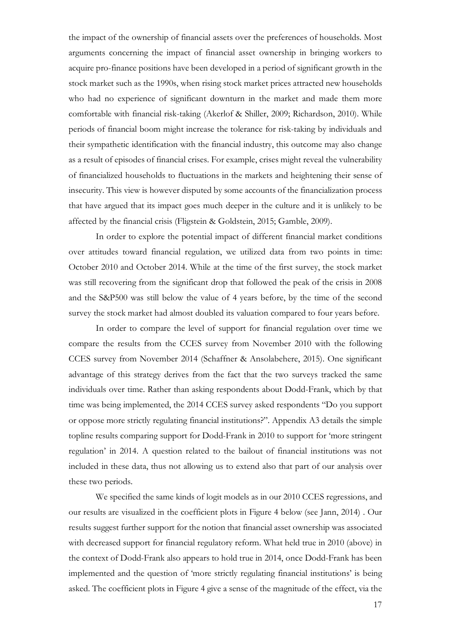the impact of the ownership of financial assets over the preferences of households. Most arguments concerning the impact of financial asset ownership in bringing workers to acquire pro-finance positions have been developed in a period of significant growth in the stock market such as the 1990s, when rising stock market prices attracted new households who had no experience of significant downturn in the market and made them more comfortable with financial risk-taking (Akerlof & Shiller, 2009; Richardson, 2010). While periods of financial boom might increase the tolerance for risk-taking by individuals and their sympathetic identification with the financial industry, this outcome may also change as a result of episodes of financial crises. For example, crises might reveal the vulnerability of financialized households to fluctuations in the markets and heightening their sense of insecurity. This view is however disputed by some accounts of the financialization process that have argued that its impact goes much deeper in the culture and it is unlikely to be affected by the financial crisis (Fligstein & Goldstein, 2015; Gamble, 2009).

In order to explore the potential impact of different financial market conditions over attitudes toward financial regulation, we utilized data from two points in time: October 2010 and October 2014. While at the time of the first survey, the stock market was still recovering from the significant drop that followed the peak of the crisis in 2008 and the S&P500 was still below the value of 4 years before, by the time of the second survey the stock market had almost doubled its valuation compared to four years before.

In order to compare the level of support for financial regulation over time we compare the results from the CCES survey from November 2010 with the following CCES survey from November 2014 (Schaffner & Ansolabehere, 2015). One significant advantage of this strategy derives from the fact that the two surveys tracked the same individuals over time. Rather than asking respondents about Dodd-Frank, which by that time was being implemented, the 2014 CCES survey asked respondents "Do you support or oppose more strictly regulating financial institutions?". Appendix A3 details the simple topline results comparing support for Dodd-Frank in 2010 to support for 'more stringent regulation' in 2014. A question related to the bailout of financial institutions was not included in these data, thus not allowing us to extend also that part of our analysis over these two periods.

We specified the same kinds of logit models as in our 2010 CCES regressions, and our results are visualized in the coefficient plots in Figure 4 below (see Jann, 2014) . Our results suggest further support for the notion that financial asset ownership was associated with decreased support for financial regulatory reform. What held true in 2010 (above) in the context of Dodd-Frank also appears to hold true in 2014, once Dodd-Frank has been implemented and the question of 'more strictly regulating financial institutions' is being asked. The coefficient plots in Figure 4 give a sense of the magnitude of the effect, via the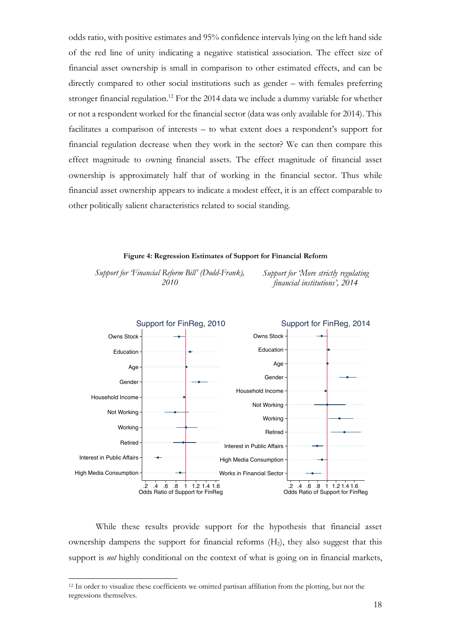odds ratio, with positive estimates and 95% confidence intervals lying on the left hand side of the red line of unity indicating a negative statistical association. The effect size of financial asset ownership is small in comparison to other estimated effects, and can be directly compared to other social institutions such as gender – with females preferring stronger financial regulation.<sup>12</sup> For the 2014 data we include a dummy variable for whether or not a respondent worked for the financial sector (data was only available for 2014). This facilitates a comparison of interests – to what extent does a respondent's support for financial regulation decrease when they work in the sector? We can then compare this effect magnitude to owning financial assets. The effect magnitude of financial asset ownership is approximately half that of working in the financial sector. Thus while financial asset ownership appears to indicate a modest effect, it is an effect comparable to other politically salient characteristics related to social standing.

#### **Figure 4: Regression Estimates of Support for Financial Reform**

*Support for 'Financial Reform Bill' (Dodd-Frank), 2010*

*Support for 'More strictly regulating financial institutions', 2014*



While these results provide support for the hypothesis that financial asset ownership dampens the support for financial reforms (H2), they also suggest that this support is *not* highly conditional on the context of what is going on in financial markets,

<sup>&</sup>lt;sup>12</sup> In order to visualize these coefficients we omitted partisan affiliation from the plotting, but not the regressions themselves.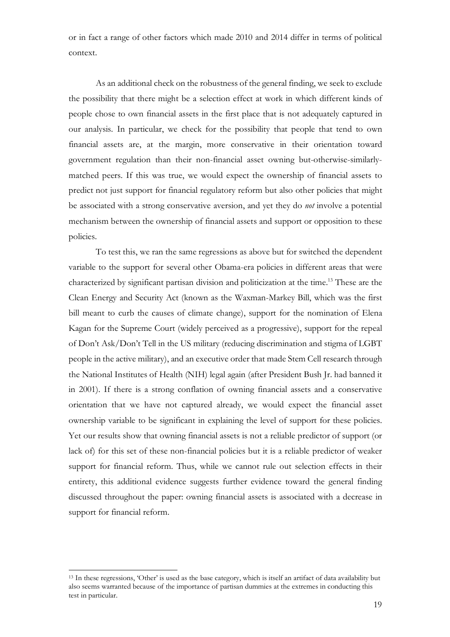or in fact a range of other factors which made 2010 and 2014 differ in terms of political context.

As an additional check on the robustness of the general finding, we seek to exclude the possibility that there might be a selection effect at work in which different kinds of people chose to own financial assets in the first place that is not adequately captured in our analysis. In particular, we check for the possibility that people that tend to own financial assets are, at the margin, more conservative in their orientation toward government regulation than their non-financial asset owning but-otherwise-similarlymatched peers. If this was true, we would expect the ownership of financial assets to predict not just support for financial regulatory reform but also other policies that might be associated with a strong conservative aversion, and yet they do *not* involve a potential mechanism between the ownership of financial assets and support or opposition to these policies.

To test this, we ran the same regressions as above but for switched the dependent variable to the support for several other Obama-era policies in different areas that were characterized by significant partisan division and politicization at the time.13 These are the Clean Energy and Security Act (known as the Waxman-Markey Bill, which was the first bill meant to curb the causes of climate change), support for the nomination of Elena Kagan for the Supreme Court (widely perceived as a progressive), support for the repeal of Don't Ask/Don't Tell in the US military (reducing discrimination and stigma of LGBT people in the active military), and an executive order that made Stem Cell research through the National Institutes of Health (NIH) legal again (after President Bush Jr. had banned it in 2001). If there is a strong conflation of owning financial assets and a conservative orientation that we have not captured already, we would expect the financial asset ownership variable to be significant in explaining the level of support for these policies. Yet our results show that owning financial assets is not a reliable predictor of support (or lack of) for this set of these non-financial policies but it is a reliable predictor of weaker support for financial reform. Thus, while we cannot rule out selection effects in their entirety, this additional evidence suggests further evidence toward the general finding discussed throughout the paper: owning financial assets is associated with a decrease in support for financial reform.

<sup>13</sup> In these regressions, 'Other' is used as the base category, which is itself an artifact of data availability but also seems warranted because of the importance of partisan dummies at the extremes in conducting this test in particular.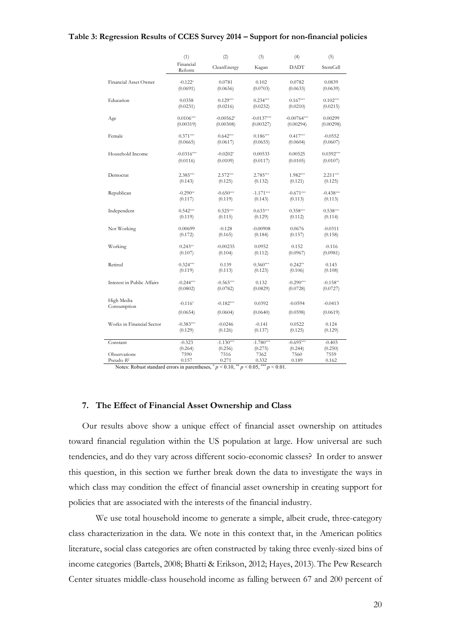#### **Table 3: Regression Results of CCES Survey 2014 – Support for non-financial policies**

|                            | (1)                 | (2)         | (3)          | (4)           | (5)         |
|----------------------------|---------------------|-------------|--------------|---------------|-------------|
|                            | Financial<br>Reform | CleanEnergy | Kagan        | <b>DADT</b>   | StemCell    |
| Financial Asset Owner      | $-0.122*$           | 0.0781      | 0.102        | 0.0782        | 0.0839      |
|                            | (0.0691)            | (0.0656)    | (0.0703)     | (0.0633)      | (0.0639)    |
| Education                  | 0.0358              | $0.129***$  | $0.234***$   | $0.167***$    | $0.102***$  |
|                            | (0.0231)            | (0.0216)    | (0.0232)     | (0.0210)      | (0.0215)    |
| Age                        | $0.0106***$         | $-0.00562*$ | $-0.0137***$ | $-0.00764***$ | 0.00299     |
|                            | (0.00319)           | (0.00308)   | (0.00327)    | (0.00294)     | (0.00298)   |
| Female                     | $0.371***$          | $0.642***$  | $0.186***$   | $0.417***$    | $-0.0552$   |
|                            | (0.0665)            | (0.0617)    | (0.0655)     | (0.0604)      | (0.0607)    |
| Household Income           | $-0.0316***$        | $-0.0202*$  | 0.00533      | 0.00525       | $0.0392***$ |
|                            | (0.0116)            | (0.0109)    | (0.0117)     | (0.0105)      | (0.0107)    |
| Democrat                   | $2.385***$          | $2.572***$  | $2.785***$   | 1.982***      | $2.211***$  |
|                            | (0.143)             | (0.125)     | (0.132)      | (0.121)       | (0.125)     |
| Republican                 | $-0.290**$          | $-0.650***$ | $-1.171***$  | $-0.671***$   | $-0.438***$ |
|                            | (0.117)             | (0.119)     | (0.143)      | (0.113)       | (0.113)     |
| Independent                | $0.542***$          | $0.525***$  | $0.633***$   | $0.358***$    | $0.538***$  |
|                            | (0.119)             | (0.115)     | (0.129)      | (0.112)       | (0.114)     |
| Not Working                | 0.00699             | $-0.128$    | $-0.00908$   | 0.0676        | $-0.0311$   |
|                            | (0.172)             | (0.165)     | (0.184)      | (0.157)       | (0.158)     |
| Working                    | $0.243**$           | $-0.00235$  | 0.0952       | 0.152         | $-0.116$    |
|                            | (0.107)             | (0.104)     | (0.112)      | (0.0967)      | (0.0981)    |
| Retired                    | $0.324***$          | 0.139       | $0.360***$   | $0.242**$     | 0.143       |
|                            | (0.119)             | (0.113)     | (0.123)      | (0.106)       | (0.108)     |
| Interest in Public Affairs | $-0.244***$         | $-0.565***$ | 0.132        | $-0.290***$   | $-0.158**$  |
|                            | (0.0802)            | (0.0782)    | (0.0829)     | (0.0728)      | (0.0727)    |
| High Media                 | $-0.116*$           | $-0.182***$ | 0.0392       | $-0.0594$     | $-0.0413$   |
| Consumption                | (0.0654)            | (0.0604)    | (0.0640)     | (0.0598)      | (0.0619)    |
| Works in Financial Sector  | $-0.383***$         | $-0.0246$   | $-0.141$     | 0.0522        | 0.124       |
|                            | (0.129)             | (0.126)     | (0.137)      | (0.125)       | (0.129)     |
| Constant                   | $-0.323$            | $-1.130***$ | $-1.780***$  | $-0.695***$   | $-0.403$    |
|                            | (0.264)             | (0.256)     | (0.275)      | (0.244)       | (0.250)     |
| Observations               | 7590                | 7516        | 7362         | 7560          | 7559        |
| Pseudo R <sup>2</sup>      | 0.157               | 0.271       | 0.332        | 0.189         | 0.162       |

Notes: Robust standard errors in parentheses,  $p < 0.10$ ,  $\binom{4}{3}$   $p < 0.05$ ,  $\binom{4}{3}$   $p < 0.01$ .

#### **7. The Effect of Financial Asset Ownership and Class**

Our results above show a unique effect of financial asset ownership on attitudes toward financial regulation within the US population at large. How universal are such tendencies, and do they vary across different socio-economic classes? In order to answer this question, in this section we further break down the data to investigate the ways in which class may condition the effect of financial asset ownership in creating support for policies that are associated with the interests of the financial industry.

We use total household income to generate a simple, albeit crude, three-category class characterization in the data. We note in this context that, in the American politics literature, social class categories are often constructed by taking three evenly-sized bins of income categories (Bartels, 2008; Bhatti & Erikson, 2012; Hayes, 2013). The Pew Research Center situates middle-class household income as falling between 67 and 200 percent of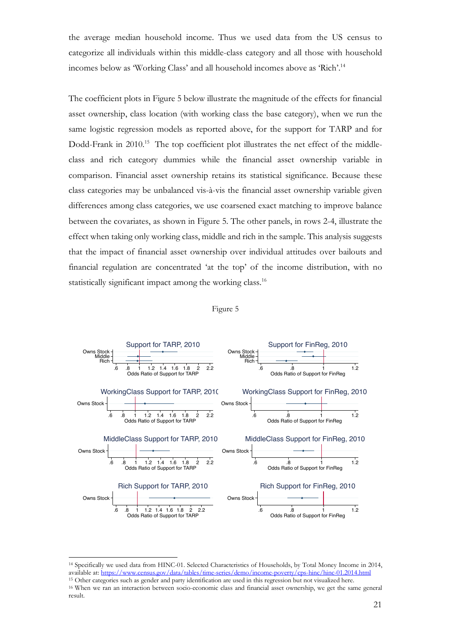the average median household income. Thus we used data from the US census to categorize all individuals within this middle-class category and all those with household incomes below as 'Working Class' and all household incomes above as 'Rich'.14

The coefficient plots in Figure 5 below illustrate the magnitude of the effects for financial asset ownership, class location (with working class the base category), when we run the same logistic regression models as reported above, for the support for TARP and for Dodd-Frank in 2010.<sup>15</sup> The top coefficient plot illustrates the net effect of the middleclass and rich category dummies while the financial asset ownership variable in comparison. Financial asset ownership retains its statistical significance. Because these class categories may be unbalanced vis-à-vis the financial asset ownership variable given differences among class categories, we use coarsened exact matching to improve balance between the covariates, as shown in Figure 5. The other panels, in rows 2-4, illustrate the effect when taking only working class, middle and rich in the sample. This analysis suggests that the impact of financial asset ownership over individual attitudes over bailouts and financial regulation are concentrated 'at the top' of the income distribution, with no statistically significant impact among the working class.<sup>16</sup>





<sup>14</sup> Specifically we used data from HINC-01. Selected Characteristics of Households, by Total Money Income in 2014, available at: https://www.census.gov/data/tables/time-series/demo/income-poverty/cps-hinc/hinc-01.2014.html <sup>15</sup> Other categories such as gender and party identification are used in this regression but not visualized here.

<sup>16</sup> When we ran an interaction between socio-economic class and financial asset ownership, we get the same general result.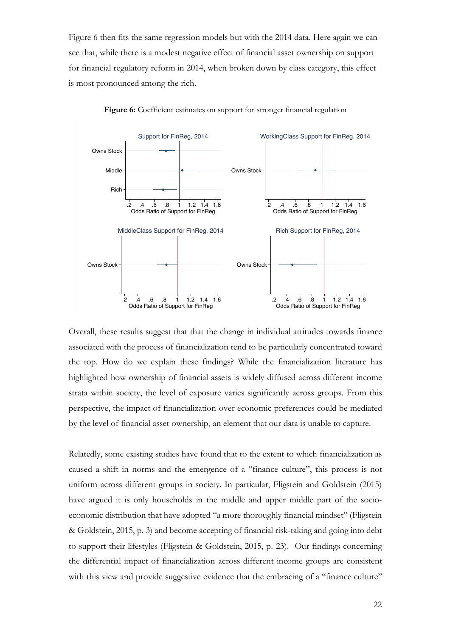Figure 6 then fits the same regression models but with the 2014 data. Here again we can see that, while there is a modest negative effect of financial asset ownership on support for financial regulatory reform in 2014, when broken down by class category, this effect is most pronounced among the rich.



Figure 6: Coefficient estimates on support for stronger financial regulation

Overall, these results suggest that that the change in individual attitudes towards finance associated with the process of financialization tend to be particularly concentrated toward the top. How do we explain these findings? While the financialization literature has highlighted how ownership of financial assets is widely diffused across different income strata within society, the level of exposure varies significantly across groups. From this perspective, the impact of financialization over economic preferences could be mediated by the level of financial asset ownership, an element that our data is unable to capture.

Relatedly, some existing studies have found that to the extent to which financialization as caused a shift in norms and the emergence of a "finance culture", this process is not uniform across different groups in society. In particular, Fligstein and Goldstein (2015) have argued it is only households in the middle and upper middle part of the socioeconomic distribution that have adopted "a more thoroughly financial mindset" (Fligstein & Goldstein, 2015, p. 3) and become accepting of financial risk-taking and going into debt to support their lifestyles (Fligstein & Goldstein, 2015, p. 23). Our findings concerning the differential impact of financialization across different income groups are consistent with this view and provide suggestive evidence that the embracing of a "finance culture"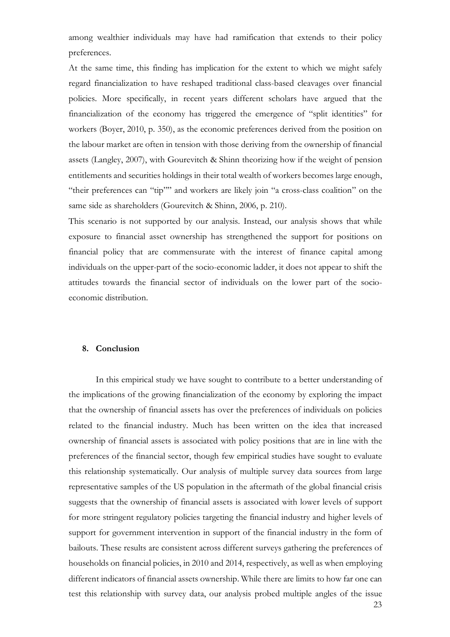among wealthier individuals may have had ramification that extends to their policy preferences.

At the same time, this finding has implication for the extent to which we might safely regard financialization to have reshaped traditional class-based cleavages over financial policies. More specifically, in recent years different scholars have argued that the financialization of the economy has triggered the emergence of "split identities" for workers (Boyer, 2010, p. 350), as the economic preferences derived from the position on the labour market are often in tension with those deriving from the ownership of financial assets (Langley, 2007), with Gourevitch & Shinn theorizing how if the weight of pension entitlements and securities holdings in their total wealth of workers becomes large enough, "their preferences can "tip"" and workers are likely join "a cross-class coalition" on the same side as shareholders (Gourevitch & Shinn, 2006, p. 210).

This scenario is not supported by our analysis. Instead, our analysis shows that while exposure to financial asset ownership has strengthened the support for positions on financial policy that are commensurate with the interest of finance capital among individuals on the upper-part of the socio-economic ladder, it does not appear to shift the attitudes towards the financial sector of individuals on the lower part of the socioeconomic distribution.

#### **8. Conclusion**

In this empirical study we have sought to contribute to a better understanding of the implications of the growing financialization of the economy by exploring the impact that the ownership of financial assets has over the preferences of individuals on policies related to the financial industry. Much has been written on the idea that increased ownership of financial assets is associated with policy positions that are in line with the preferences of the financial sector, though few empirical studies have sought to evaluate this relationship systematically. Our analysis of multiple survey data sources from large representative samples of the US population in the aftermath of the global financial crisis suggests that the ownership of financial assets is associated with lower levels of support for more stringent regulatory policies targeting the financial industry and higher levels of support for government intervention in support of the financial industry in the form of bailouts. These results are consistent across different surveys gathering the preferences of households on financial policies, in 2010 and 2014, respectively, as well as when employing different indicators of financial assets ownership. While there are limits to how far one can test this relationship with survey data, our analysis probed multiple angles of the issue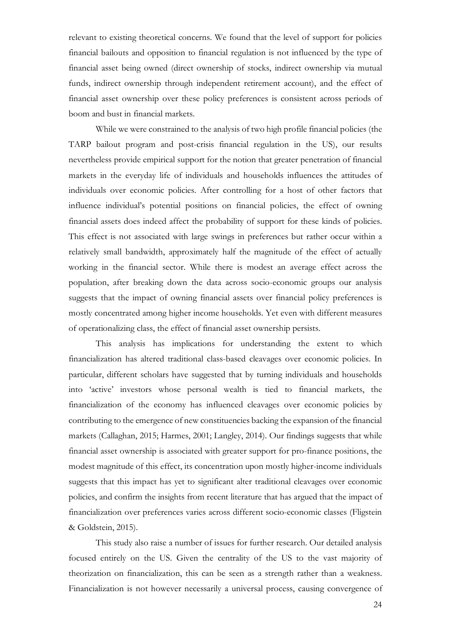relevant to existing theoretical concerns. We found that the level of support for policies financial bailouts and opposition to financial regulation is not influenced by the type of financial asset being owned (direct ownership of stocks, indirect ownership via mutual funds, indirect ownership through independent retirement account), and the effect of financial asset ownership over these policy preferences is consistent across periods of boom and bust in financial markets.

While we were constrained to the analysis of two high profile financial policies (the TARP bailout program and post-crisis financial regulation in the US), our results nevertheless provide empirical support for the notion that greater penetration of financial markets in the everyday life of individuals and households influences the attitudes of individuals over economic policies. After controlling for a host of other factors that influence individual's potential positions on financial policies, the effect of owning financial assets does indeed affect the probability of support for these kinds of policies. This effect is not associated with large swings in preferences but rather occur within a relatively small bandwidth, approximately half the magnitude of the effect of actually working in the financial sector. While there is modest an average effect across the population, after breaking down the data across socio-economic groups our analysis suggests that the impact of owning financial assets over financial policy preferences is mostly concentrated among higher income households. Yet even with different measures of operationalizing class, the effect of financial asset ownership persists.

This analysis has implications for understanding the extent to which financialization has altered traditional class-based cleavages over economic policies. In particular, different scholars have suggested that by turning individuals and households into 'active' investors whose personal wealth is tied to financial markets, the financialization of the economy has influenced cleavages over economic policies by contributing to the emergence of new constituencies backing the expansion of the financial markets (Callaghan, 2015; Harmes, 2001; Langley, 2014). Our findings suggests that while financial asset ownership is associated with greater support for pro-finance positions, the modest magnitude of this effect, its concentration upon mostly higher-income individuals suggests that this impact has yet to significant alter traditional cleavages over economic policies, and confirm the insights from recent literature that has argued that the impact of financialization over preferences varies across different socio-economic classes (Fligstein & Goldstein, 2015).

This study also raise a number of issues for further research. Our detailed analysis focused entirely on the US. Given the centrality of the US to the vast majority of theorization on financialization, this can be seen as a strength rather than a weakness. Financialization is not however necessarily a universal process, causing convergence of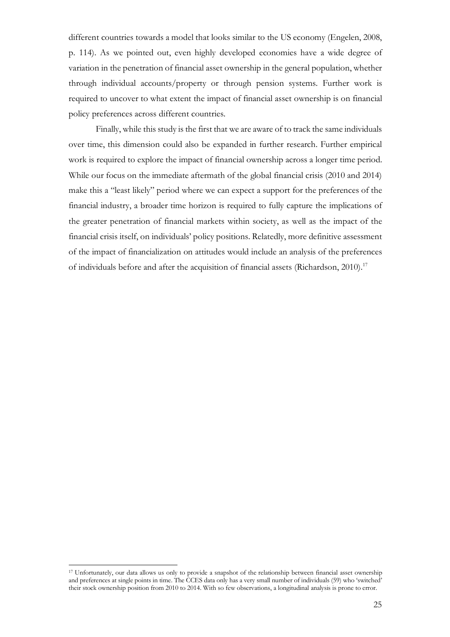different countries towards a model that looks similar to the US economy (Engelen, 2008, p. 114). As we pointed out, even highly developed economies have a wide degree of variation in the penetration of financial asset ownership in the general population, whether through individual accounts/property or through pension systems. Further work is required to uncover to what extent the impact of financial asset ownership is on financial policy preferences across different countries.

Finally, while this study is the first that we are aware of to track the same individuals over time, this dimension could also be expanded in further research. Further empirical work is required to explore the impact of financial ownership across a longer time period. While our focus on the immediate aftermath of the global financial crisis (2010 and 2014) make this a "least likely" period where we can expect a support for the preferences of the financial industry, a broader time horizon is required to fully capture the implications of the greater penetration of financial markets within society, as well as the impact of the financial crisis itself, on individuals' policy positions. Relatedly, more definitive assessment of the impact of financialization on attitudes would include an analysis of the preferences of individuals before and after the acquisition of financial assets (Richardson, 2010). 17

<sup>17</sup> Unfortunately, our data allows us only to provide a snapshot of the relationship between financial asset ownership and preferences at single points in time. The CCES data only has a very small number of individuals (59) who 'switched' their stock ownership position from 2010 to 2014. With so few observations, a longitudinal analysis is prone to error.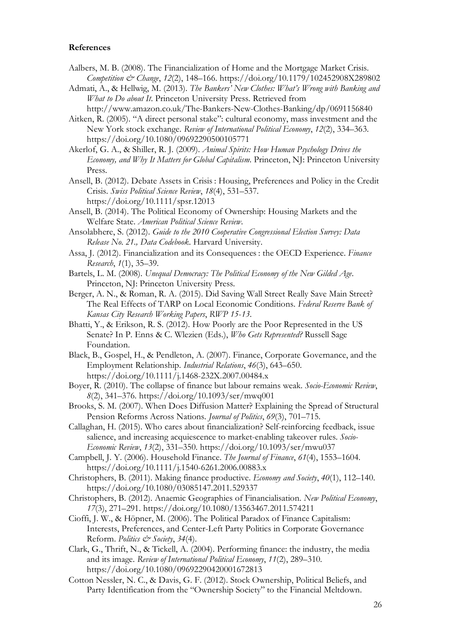#### **References**

- Aalbers, M. B. (2008). The Financialization of Home and the Mortgage Market Crisis. *Competition & Change*, *12*(2), 148–166. https://doi.org/10.1179/102452908X289802
- Admati, A., & Hellwig, M. (2013). *The Bankers' New Clothes: What's Wrong with Banking and What to Do about It*. Princeton University Press. Retrieved from http://www.amazon.co.uk/The-Bankers-New-Clothes-Banking/dp/0691156840
- Aitken, R. (2005). "A direct personal stake": cultural economy, mass investment and the New York stock exchange. *Review of International Political Economy*, *12*(2), 334–363. https://doi.org/10.1080/09692290500105771

Akerlof, G. A., & Shiller, R. J. (2009). *Animal Spirits: How Human Psychology Drives the Economy, and Why It Matters for Global Capitalism*. Princeton, NJ: Princeton University Press.

Ansell, B. (2012). Debate Assets in Crisis : Housing, Preferences and Policy in the Credit Crisis. *Swiss Political Science Review*, *18*(4), 531–537. https://doi.org/10.1111/spsr.12013

Ansell, B. (2014). The Political Economy of Ownership: Housing Markets and the Welfare State. *American Political Science Review*.

Ansolabhere, S. (2012). *Guide to the 2010 Cooperative Congressional Election Survey: Data Release No. 21., Data Codebook*. Harvard University.

Assa, J. (2012). Financialization and its Consequences : the OECD Experience. *Finance Research*, *1*(1), 35–39.

Bartels, L. M. (2008). *Unequal Democracy: The Political Economy of the New Gilded Age*. Princeton, NJ: Princeton University Press.

Berger, A. N., & Roman, R. A. (2015). Did Saving Wall Street Really Save Main Street? The Real Effects of TARP on Local Economic Conditions. *Federal Reserve Bank of Kansas City Research Working Papers*, *RWP 15*-*13*.

Bhatti, Y., & Erikson, R. S. (2012). How Poorly are the Poor Represented in the US Senate? In P. Enns & C. Wlezien (Eds.), *Who Gets Represented?* Russell Sage Foundation.

Black, B., Gospel, H., & Pendleton, A. (2007). Finance, Corporate Governance, and the Employment Relationship. *Industrial Relations*, *46*(3), 643–650. https://doi.org/10.1111/j.1468-232X.2007.00484.x

Boyer, R. (2010). The collapse of finance but labour remains weak. *Socio-Economic Review*, *8*(2), 341–376. https://doi.org/10.1093/ser/mwq001

Brooks, S. M. (2007). When Does Diffusion Matter? Explaining the Spread of Structural Pension Reforms Across Nations. *Journal of Politics*, *69*(3), 701–715.

Callaghan, H. (2015). Who cares about financialization? Self-reinforcing feedback, issue salience, and increasing acquiescence to market-enabling takeover rules. *Socio-Economic Review*, *13*(2), 331–350. https://doi.org/10.1093/ser/mwu037

Campbell, J. Y. (2006). Household Finance. *The Journal of Finance*, *61*(4), 1553–1604. https://doi.org/10.1111/j.1540-6261.2006.00883.x

Christophers, B. (2011). Making finance productive. *Economy and Society*, *40*(1), 112–140. https://doi.org/10.1080/03085147.2011.529337

Christophers, B. (2012). Anaemic Geographies of Financialisation. *New Political Economy*, *17*(3), 271–291. https://doi.org/10.1080/13563467.2011.574211

Cioffi, J. W., & Höpner, M. (2006). The Political Paradox of Finance Capitalism: Interests, Preferences, and Center-Left Party Politics in Corporate Governance Reform. *Politics & Society*, *34*(4).

Clark, G., Thrift, N., & Tickell, A. (2004). Performing finance: the industry, the media and its image. *Review of International Political Economy*, *11*(2), 289–310. https://doi.org/10.1080/09692290420001672813

Cotton Nessler, N. C., & Davis, G. F. (2012). Stock Ownership, Political Beliefs, and Party Identification from the "Ownership Society" to the Financial Meltdown.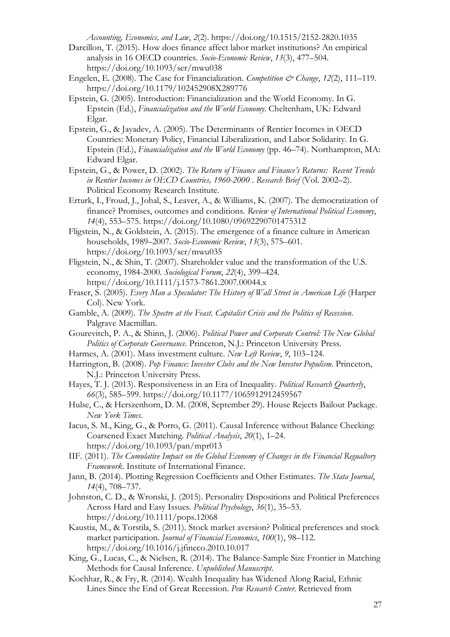*Accounting, Economics, and Law*, *2*(2). https://doi.org/10.1515/2152-2820.1035

- Darcillon, T. (2015). How does finance affect labor market institutions? An empirical analysis in 16 OECD countries. *Socio-Economic Review*, *13*(3), 477–504. https://doi.org/10.1093/ser/mwu038
- Engelen, E. (2008). The Case for Financialization. *Competition & Change*, *12*(2), 111–119. https://doi.org/10.1179/102452908X289776
- Epstein, G. (2005). Introduction: Financialization and the World Economy. In G. Epstein (Ed.), *Financialization and the World Economy*. Cheltenham, UK: Edward Elgar.
- Epstein, G., & Jayadev, A. (2005). The Determinants of Rentier Incomes in OECD Countries: Monetary Policy, Financial Liberalization, and Labor Solidarity. In G. Epstein (Ed.), *Financialization and the World Economy* (pp. 46–74). Northampton, MA: Edward Elgar.

Epstein, G., & Power, D. (2002). *The Return of Finance and Finance's Returns: Recent Trends in Rentier Incomes in OECD Countries, 1960-2000* . *Research Brief* (Vol. 2002–2). Political Economy Research Institute.

- Erturk, I., Froud, J., Johal, S., Leaver, A., & Williams, K. (2007). The democratization of finance? Promises, outcomes and conditions. *Review of International Political Economy*, *14*(4), 553–575. https://doi.org/10.1080/09692290701475312
- Fligstein, N., & Goldstein, A. (2015). The emergence of a finance culture in American households, 1989–2007. *Socio-Economic Review*, *13*(3), 575–601. https://doi.org/10.1093/ser/mwu035
- Fligstein, N., & Shin, T. (2007). Shareholder value and the transformation of the U.S. economy, 1984-2000. *Sociological Forum*, *22*(4), 399–424. https://doi.org/10.1111/j.1573-7861.2007.00044.x
- Fraser, S. (2005). *Every Man a Speculator: The History of Wall Street in American Life* (Harper Col). New York.
- Gamble, A. (2009). *The Spectre at the Feast. Capitalist Crisis and the Politics of Recession*. Palgrave Macmillan.
- Gourevitch, P. A., & Shinn, J. (2006). *Political Power and Corporate Control: The New Global Politics of Corporate Governance*. Princeton, N.J.: Princeton University Press.
- Harmes, A. (2001). Mass investment culture. *New Left Review*, *9*, 103–124.
- Harrington, B. (2008). *Pop Finance: Investor Clubs and the New Investor Populism*. Princeton, N.J.: Princeton University Press.
- Hayes, T. J. (2013). Responsiveness in an Era of Inequality. *Political Research Quarterly*, *66*(3), 585–599. https://doi.org/10.1177/1065912912459567
- Hulse, C., & Herszenhorn, D. M. (2008, September 29). House Rejects Bailout Package. *New York Times*.
- Iacus, S. M., King, G., & Porro, G. (2011). Causal Inference without Balance Checking: Coarsened Exact Matching. *Political Analysis*, *20*(1), 1–24. https://doi.org/10.1093/pan/mpr013
- IIF. (2011). *The Cumulative Impact on the Global Economy of Changes in the Financial Regualtory Framework*. Institute of International Finance.
- Jann, B. (2014). Plotting Regression Coefficients and Other Estimates. *The Stata Journal*, *14*(4), 708–737.
- Johnston, C. D., & Wronski, J. (2015). Personality Dispositions and Political Preferences Across Hard and Easy Issues. *Political Psychology*, *36*(1), 35–53. https://doi.org/10.1111/pops.12068
- Kaustia, M., & Torstila, S. (2011). Stock market aversion? Political preferences and stock market participation. *Journal of Financial Economics*, *100*(1), 98–112. https://doi.org/10.1016/j.jfineco.2010.10.017
- King, G., Lucas, C., & Nielsen, R. (2014). The Balance-Sample Size Frontier in Matching Methods for Causal Inference. *Unpublished Manuscript*.
- Kochhar, R., & Fry, R. (2014). Wealth Inequality has Widened Along Racial, Ethnic Lines Since the End of Great Recession. *Pew Research Center*. Retrieved from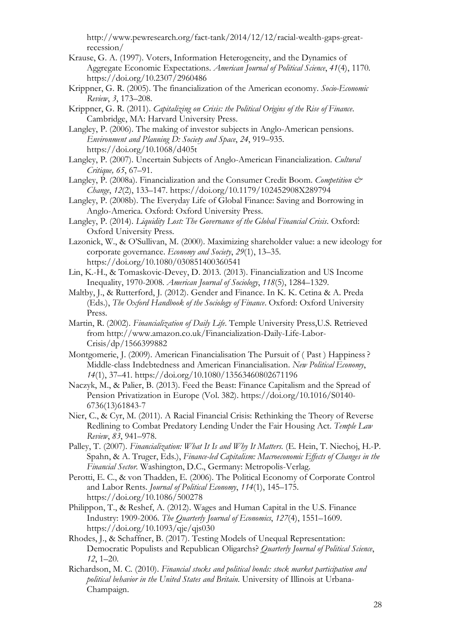http://www.pewresearch.org/fact-tank/2014/12/12/racial-wealth-gaps-greatrecession/

- Krause, G. A. (1997). Voters, Information Heterogeneity, and the Dynamics of Aggregate Economic Expectations. *American Journal of Political Science*, *41*(4), 1170. https://doi.org/10.2307/2960486
- Krippner, G. R. (2005). The financialization of the American economy. *Socio-Economic Review*, *3*, 173–208.
- Krippner, G. R. (2011). *Capitalizing on Crisis: the Political Origins of the Rise of Finance*. Cambridge, MA: Harvard University Press.
- Langley, P. (2006). The making of investor subjects in Anglo-American pensions. *Environment and Planning D: Society and Space*, *24*, 919–935. https://doi.org/10.1068/d405t
- Langley, P. (2007). Uncertain Subjects of Anglo-American Financialization. *Cultural Critique, 65*, 67–91.
- Langley, P. (2008a). Financialization and the Consumer Credit Boom. *Competition & Change*, *12*(2), 133–147. https://doi.org/10.1179/102452908X289794
- Langley, P. (2008b). The Everyday Life of Global Finance: Saving and Borrowing in Anglo-America. Oxford: Oxford University Press.
- Langley, P. (2014). *Liquidity Lost: The Governance of the Global Financial Crisis*. Oxford: Oxford University Press.
- Lazonick, W., & O'Sullivan, M. (2000). Maximizing shareholder value: a new ideology for corporate governance. *Economy and Society*, *29*(1), 13–35. https://doi.org/10.1080/030851400360541
- Lin, K.-H., & Tomaskovic-Devey, D. 2013. (2013). Financialization and US Income Inequality, 1970-2008. *American Journal of Sociology*, *118*(5), 1284–1329.
- Maltby, J., & Rutterford, J. (2012). Gender and Finance. In K. K. Cetina & A. Preda (Eds.), *The Oxford Handbook of the Sociology of Finance*. Oxford: Oxford University Press.
- Martin, R. (2002). *Financialization of Daily Life*. Temple University Press,U.S. Retrieved from http://www.amazon.co.uk/Financialization-Daily-Life-Labor-Crisis/dp/1566399882
- Montgomerie, J. (2009). American Financialisation The Pursuit of ( Past ) Happiness ? Middle-class Indebtedness and American Financialisation. *New Political Economy*, *14*(1), 37–41. https://doi.org/10.1080/13563460802671196
- Naczyk, M., & Palier, B. (2013). Feed the Beast: Finance Capitalism and the Spread of Pension Privatization in Europe (Vol. 382). https://doi.org/10.1016/S0140- 6736(13)61843-7
- Nier, C., & Cyr, M. (2011). A Racial Financial Crisis: Rethinking the Theory of Reverse Redlining to Combat Predatory Lending Under the Fair Housing Act. *Temple Law Review*, *83*, 941–978.
- Palley, T. (2007). *Financialization: What It Is and Why It Matters.* (E. Hein, T. Niechoj, H.-P. Spahn, & A. Truger, Eds.), *Finance-led Capitalism: Macroeconomic Effects of Changes in the Financial Sector*. Washington, D.C., Germany: Metropolis-Verlag.
- Perotti, E. C., & von Thadden, E. (2006). The Political Economy of Corporate Control and Labor Rents. *Journal of Political Economy*, *114*(1), 145–175. https://doi.org/10.1086/500278
- Philippon, T., & Reshef, A. (2012). Wages and Human Capital in the U.S. Finance Industry: 1909-2006. *The Quarterly Journal of Economics*, *127*(4), 1551–1609. https://doi.org/10.1093/qje/qjs030
- Rhodes, J., & Schaffner, B. (2017). Testing Models of Unequal Representation: Democratic Populists and Republican Oligarchs? *Quarterly Journal of Political Science*, *12*, 1–20.
- Richardson, M. C. (2010). *Financial stocks and political bonds: stock market participation and political behavior in the United States and Britain*. University of Illinois at Urbana-Champaign.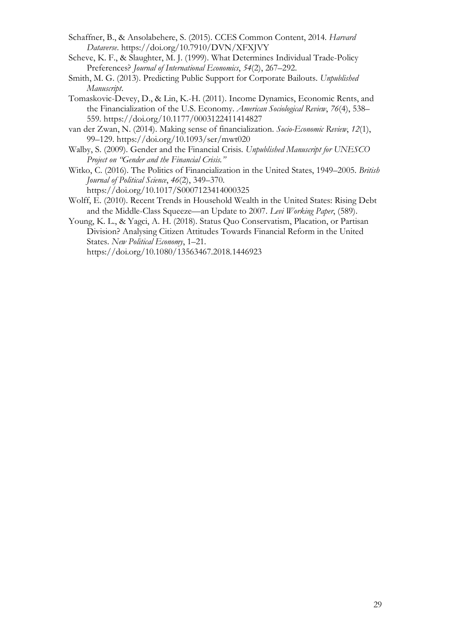- Schaffner, B., & Ansolabehere, S. (2015). CCES Common Content, 2014. *Harvard Dataverse*. https://doi.org/10.7910/DVN/XFXJVY
- Scheve, K. F., & Slaughter, M. J. (1999). What Determines Individual Trade-Policy Preferences? *Journal of International Economics*, *54*(2), 267–292.
- Smith, M. G. (2013). Predicting Public Support for Corporate Bailouts. *Unpublished Manuscript*.
- Tomaskovic-Devey, D., & Lin, K.-H. (2011). Income Dynamics, Economic Rents, and the Financialization of the U.S. Economy. *American Sociological Review*, *76*(4), 538– 559. https://doi.org/10.1177/0003122411414827
- van der Zwan, N. (2014). Making sense of financialization. *Socio-Economic Review*, *12*(1), 99–129. https://doi.org/10.1093/ser/mwt020
- Walby, S. (2009). Gender and the Financial Crisis. *Unpublished Manuscript for UNESCO Project on "Gender and the Financial Crisis."*
- Witko, C. (2016). The Politics of Financialization in the United States, 1949–2005. *British Journal of Political Science*, *46*(2), 349–370.
	- https://doi.org/10.1017/S0007123414000325
- Wolff, E. (2010). Recent Trends in Household Wealth in the United States: Rising Debt and the Middle-Class Squeeze—an Update to 2007. *Levi Working Paper*, (589).
- Young, K. L., & Yagci, A. H. (2018). Status Quo Conservatism, Placation, or Partisan Division? Analysing Citizen Attitudes Towards Financial Reform in the United States. *New Political Economy*, 1–21. https://doi.org/10.1080/13563467.2018.1446923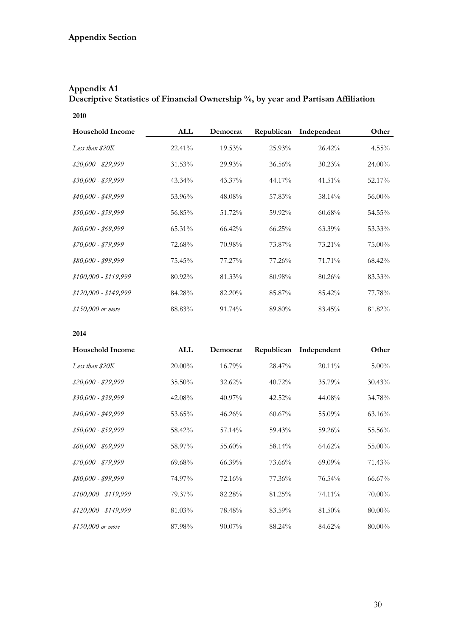## **Appendix A1 Descriptive Statistics of Financial Ownership %, by year and Partisan Affiliation**

#### **2010**

| <b>Household Income</b> | ALL       | Democrat  | Republican | Independent | Other     |
|-------------------------|-----------|-----------|------------|-------------|-----------|
| Less than \$20K         | $22.41\%$ | $19.53\%$ | 25.93%     | $26.42\%$   | $4.55\%$  |
| $$20,000 - $29,999$     | 31.53%    | 29.93%    | $36.56\%$  | $30.23\%$   | $24.00\%$ |
| $$30,000 - $39,999$     | 43.34%    | 43.37%    | 44.17%     | 41.51%      | 52.17%    |
| $$40,000 - $49,999$     | 53.96%    | 48.08%    | 57.83%     | 58.14%      | 56.00%    |
| $$50,000 - $59,999$     | 56.85%    | 51.72%    | 59.92%     | $60.68\%$   | 54.55%    |
| $$60,000$ - \$69,999    | 65.31%    | $66.42\%$ | $66.25\%$  | $63.39\%$   | 53.33%    |
| $$70,000 - $79,999$     | 72.68%    | 70.98%    | 73.87%     | 73.21%      | 75.00%    |
| \$80,000 - \$99,999     | 75.45%    | 77.27%    | 77.26%     | 71.71%      | 68.42%    |
| $$100,000 - $119,999$   | 80.92%    | 81.33%    | 80.98%     | $80.26\%$   | 83.33%    |
| $$120,000 - $149,999$   | 84.28%    | 82.20%    | 85.87%     | 85.42%      | 77.78%    |
| \$150,000 or more       | 88.83%    | 91.74%    | 89.80%     | 83.45%      | 81.82%    |

| <b>Household Income</b> | ALL       | Democrat  | Republican | Independent | Other     |
|-------------------------|-----------|-----------|------------|-------------|-----------|
| Less than \$20K         | $20.00\%$ | 16.79%    | 28.47%     | $20.11\%$   | $5.00\%$  |
| $$20,000 - $29,999$     | $35.50\%$ | 32.62%    | $40.72\%$  | 35.79%      | $30.43\%$ |
| \$30,000 - \$39,999     | 42.08%    | 40.97%    | 42.52%     | 44.08%      | 34.78%    |
| \$40,000 - \$49,999     | 53.65%    | 46.26%    | $60.67\%$  | 55.09%      | $63.16\%$ |
| $$50,000 - $59,999$     | 58.42%    | 57.14%    | 59.43%     | 59.26%      | 55.56%    |
| \$60,000 - \$69,999     | 58.97%    | 55.60%    | 58.14%     | $64.62\%$   | 55.00%    |
| $$70,000 - $79,999$     | 69.68%    | $66.39\%$ | 73.66%     | $69.09\%$   | 71.43%    |
| \$80,000 - \$99,999     | 74.97%    | 72.16%    | 77.36%     | 76.54%      | $66.67\%$ |
| $$100,000 - $119,999$   | 79.37%    | 82.28%    | 81.25%     | 74.11%      | 70.00%    |
| $$120,000 - $149,999$   | 81.03%    | 78.48%    | 83.59%     | 81.50%      | 80.00%    |
| \$150,000 or more       | 87.98%    | 90.07%    | 88.24%     | 84.62%      | 80.00%    |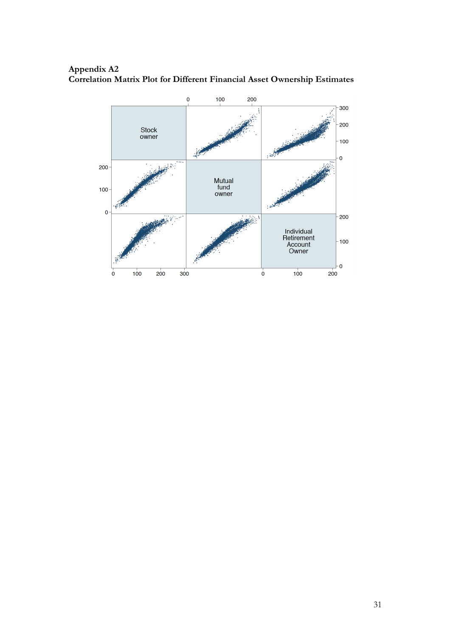#### **Appendix A2 Correlation Matrix Plot for Different Financial Asset Ownership Estimates**